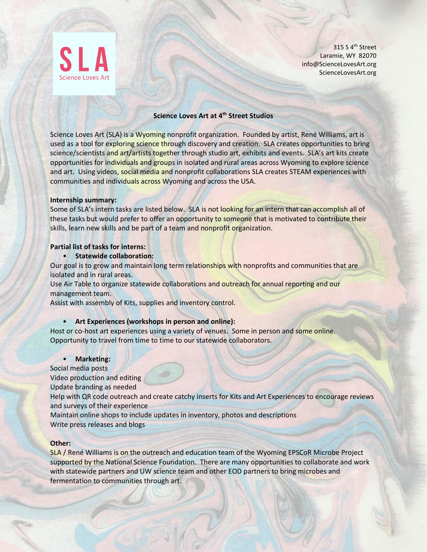

315 S 4<sup>th</sup> Street Laramie, WY 82070 info@ScienceLovesArt.org ScienceLovesArt.org

## **Science Loves Art at 4th Street Studios**

Science Loves Art (SLA) is a Wyoming nonprofit organization. Founded by artist, René Williams, art is used as a tool for exploring science through discovery and creation. SLA creates opportunities to bring science/scientists and art/artists together through studio art, exhibits and events. SLA's art kits create opportunities for individuals and groups in isolated and rural areas across Wyoming to explore science and art. Using videos, social media and nonprofit collaborations SLA creates STEAM experiences with communities and individuals across Wyoming and across the USA.

#### **Internship summary:**

Some of SLA's intern tasks are listed below. SLA is not looking for an intern that can accomplish all of these tasks but would prefer to offer an opportunity to someone that is motivated to contribute their skills, learn new skills and be part of a team and nonprofit organization.

#### **Partial list of tasks for interns:**

• **Statewide collaboration:**

Our goal is to grow and maintain long term relationships with nonprofits and communities that are isolated and in rural areas.

Use Air Table to organize statewide collaborations and outreach for annual reporting and our management team.

Assist with assembly of Kits, supplies and inventory control.

## • **Art Experiences (workshops in person and online):**

Host or co-host art experiences using a variety of venues. Some in person and some online. Opportunity to travel from time to time to our statewide collaborators.

## • **Marketing:**

Social media posts

Video production and editing

Update branding as needed

Help with QR code outreach and create catchy inserts for Kits and Art Experiences to encourage reviews and surveys of their experience

Maintain online shops to include updates in inventory, photos and descriptions Write press releases and blogs

## **Other:**

SLA / René Williams is on the outreach and education team of the Wyoming EPSCoR Microbe Project supported by the National Science Foundation. There are many opportunities to collaborate and work with statewide partners and UW science team and other EOD partners to bring microbes and fermentation to communities through art.